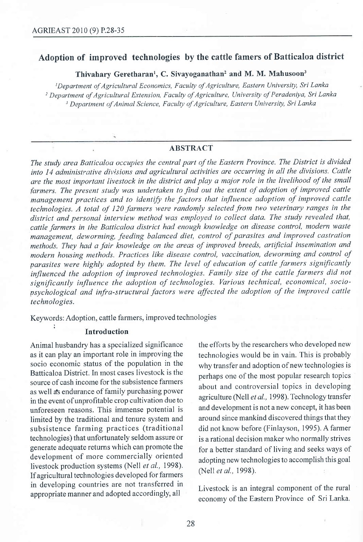# Adoption of improved technologies by the cattle famers of Batticaloa district

Thivahary Geretharan<sup>1</sup>, C. Sivayoganathan<sup>2</sup> and M. M. Mahusoon<sup>3</sup>

lDepartment of Agricultural Economics, Faculty of Agriculture, Eastern University, Sri Lanka <sup>2</sup> Department of Agricultural Extension, Faculty of Agriculture, University of Peradeniya, Sri Lanka <sup>3</sup> Department of Animal Science, Faculty of Agriculture, Eastern University, Sri Lanka

### ABSTRACT

The study area Batticaloa occupies the central part of the Eastern Province. The District is divided into l4 administrative divisions and agricultural activities are occurring in all the divisions. Cattle are the most important livestock in the district and play a major role in the livelihood of the small farmers. The present study was undertaken to find out the extent of adoption of improved cattle management practices and to identify the factors that influence adoption of improved cattle technologies. A total of 120 farmers were randomly selected from two veterinary ranges in the district and personal interview method was employed to collect data. The study revealed that, cattle farmers in the Batticaloa district had enough knowledge on disease control, modern waste management, deworming, feeding balanced diet, control of parasites and improved castration methods. They had a fair knowledge on the areas of improved breeds, artificial insemination and modern housing methods. Practices like disease control, vaccination, deworming and control of parasites were highly adopted by them. The level of education of cattle farmers significantly influenced the adoption of improved technologies. Family size of the cattle farmers did not significantly influence the adoption of technologies. Various technical, economical, sociopsychological and infra-structural factors were affected the adoption of the improved cattle technologies.

Keywords: Adoption, cattle farmers, improved technologies

#### Introduction

as it can play an important role in improving the technologies would be in vain. This is probably socio economic status of the population in the why transfer and adoption of new technologies is Batticaloa District. In most cases livestock is the .^^;^-^ ^ source of cash income for the subsistence farmers about and controversial topics in developing as well as endurance of family purchasing power<br> $\frac{a\omega\alpha t}{\alpha}$  agriculture (Nell *et al.*, 1998). Technology transfer in the event of unprofitable crop cultivation due to agriculture (Nell et  $a\mu$ , 1998). Technology transference of unforeseen reasons. This immense notential is and development is not a new concept, it has been unforeseen reasons. This immense potential is limited by the traditional and tenure system and around since mankind discovered things that they subsistence farming practices (traditional did not know before (Finlayson, 1995). A farmer technologies) that unfortunately seldom assure or is a rational decision maker who normally strives<br>generate adequate returns which can promote the for a better standard of living and seeks ways of development of more commercially oriented  $\frac{1}{2}$  adopting new technologies to accomplish this goal livestock production systems (Nell *et al.*, 1998). (Nell *et al.*, 1998). If agricultural technologies developed for farmers in developing countries are not transferred in appropriate manner and adopted accordingly, all

Animal husbandry has a specialized significance the efforts by the researchers who developed new for a better standard of living and seeks ways of

> Livestock is an integral component of the rural economy of the Eastern Province of Sri Lanka.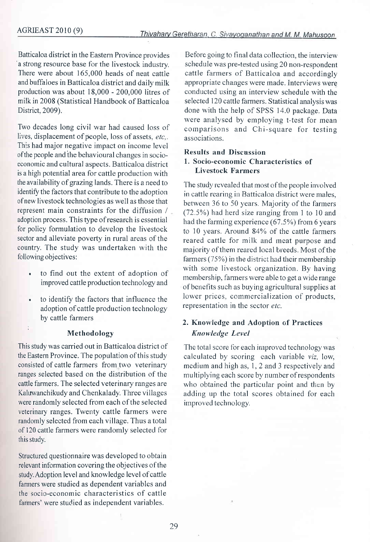Batticaloa district in the Eastern Province provides a strong resource base for the livestock industry. There were about 165,000 heads of neat cattle and buffaloes in Batticaloa district and daily milk production was about 18,000 - 200,000 litres of milk in 2008 (Statistical Handbook of Batticaloa District,2009).

Two decades long civil war had caused loss of lives, displacement of people, loss of assets,  $etc.$ . This had major negative impact on income level ofthe people and the behavioural changes in socioeconomic and cultural aspects. Batticaloa district is a high potential area for cattle production with the availability of grazing lands. There is a need to identify the factors that contribute to the adoption of new livestock technologies as well as those that represent main constraints for the diffusion / adoption process. This type ofresearch is essential for policy formulation to develop the livestock sector and alleviate poverty in rural areas of the country. The study was undertaken with the following objectives:

- . to find out the extent of adoption of improved cattle production technology and
- to identify the factors that influence the adoption of cattle production technology by cattle farmers

#### Methodology

l

This study was carried out in Batticaloa district of the Eastem Province. The population of this study consisted of cattle farmers from two veterinary ranges selected based on the distribution of the cattle farmers. The selected veterinary ranges are Kaluwanchikudy and Chenkalady. Three villages were randomly selected from each of the selected veterinary ranges. Twenty cattle farmers were randomly selected from each village. Thus a total of 120 cattle farmers were randomly selected for this study.

Structured questionnaire was developed to obtain relevant information covering the objectives of the study. Adoption level and knowledge level of cattle farmers were studied as dependent variables and the socio-economic characteristics of cattle farmers' were studied as independent variables.

Before going to final data collection, the interview schedule was pre-tested using 20 non-respondent cattle farmers of Batticaloa and accordingly appropriate changes were made. Interviews were conducted using an interview schedule with the selected 120 cattle farmers. Statistical analysis was done with the help of SPSS 14.0 package. Data were analysed by employing t-test for mean comparisons and Chi-square for testing associations.

#### Results and Discussion 1. Socio-economic Characteristics of Livestock Farmers

The study revealed that most of the people involved in cattle rearing in Batticaloa district were males, between 36 to 50 years. Majority of the farmers (72.5%) had herd size ranging from 1 to 10 and had the farming experience (67.5%) from 6 years to 10 years. Around 84% of the cattle farmers reared cattle for milk and meat purpose and majority of them reared local breeds. Most of the farmers (75%) in the district had their membership with some livestock organization. By having membership, farmers were able to get a wide range of benefits such as buying agricultural supplies at lower prices, commercialization of products, representation in the sector etc.

### 2. Knowledge and Adoption of Practices Knowledge Level

The total score for each improved technology was calculated by scoring each variable viz, low, medium and high as, 1, 2 and 3 respectively and multiplying each score by number ofrespondents who obtained the particular point and then by adding up the total scores obtained for each improved technology.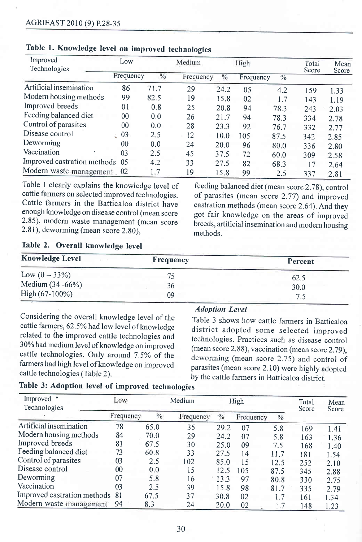| Improved                       | Low       |               | Medium    |      | High      |               | Total |               |
|--------------------------------|-----------|---------------|-----------|------|-----------|---------------|-------|---------------|
| Technologies                   | Frequency | $\frac{0}{0}$ | Frequency | $\%$ | Frequency | $\frac{0}{0}$ | Score | Mean<br>Score |
| Artificial insemination        | 86        | 71.7          | 29        | 24.2 | 05        | 4.2           | 159   | 1.33          |
| Modern housing methods         | 99        | 82.5          | 19        | 15.8 | 02        | 1.7           | 143   | 1.19          |
| Improved breeds                | 01        | 0.8           | 25        | 20.8 | 94        | 78.3          | 243   | 2.03          |
| Feeding balanced diet          | 00        | 0.0           | 26        | 21.7 | 94        | 78.3          | 334   | 2.78          |
| Control of parasites           | 00        | 0.0           | 28        | 23.3 | 92        | 76.7          | 332   | 2.77          |
| Disease control                | 03        | 2.5           | 12        | 10.0 | 105       | 87.5          | 342   | 2.85          |
| Deworming                      | $00\,$    | 0.0           | 24        | 20.0 | 96        | 80.0          | 336   | 2.80          |
| Vaccination                    | 03        | 2.5           | 45        | 37.5 | 72        | 60.0          | 309   | 2.58          |
| Improved castration methods 05 |           | 4.2           | 33        | 27.5 | 82        | 68.3          | 17    | 2.64          |
| Modern waste management, 02    |           | 1.7           | 19        | 15.8 | 99        | 2.5           | 337   | 2.81          |

# Table l. Knowledge Ievel on improved technologies

Table I clearly explains the knowledge level of cattle farmers on selected improved technologies. Cattle farmers in the Batticaloa district have enough knowledge on disease control (mean score 2.85), modern waste management (mean score 2.81), deworming (mean score 2.80),

feeding balanced diet (mean score 2.78), control of parasites (mean score 2.77) and improved castration methods (mean score 2.64). And they got fair knowledge on the areas of improved breeds, artificial insemination and modern housing methods.

## Table 2. Overall knowledge level

| <b>Knowledge Level</b> | Frequency | Percent |
|------------------------|-----------|---------|
| Low $(0 - 33\%)$       | 75.       | 62.5    |
| Medium (34 -66%)       | 36        | 30.0    |
| High $(67-100\%)$      | 09        |         |

Considering the overall knowledge level of the cattle farmers, 62.5% had low level of knowledge related to the improved cattle technologies and 30% had medium level of knowledge on improved cattle technologies. Only around 7.5% of the farmers had high level of knowledge on improved cattle technologies (Table 2).

#### Adoption Level

Table 3 shows how cattle farmers in Batticaloa district adopted some selected improved technologies. Practices such as disease control (mean score 2.88), vaccination (mean score 2.79), deworming (mean score 2.75) and control of parasites (mean score 2.10) were highly adopted by the cattle farmers in Batticaloa district.

| Table 3: Adoption level of improved technologies |  |  |  |  |  |
|--------------------------------------------------|--|--|--|--|--|
|--------------------------------------------------|--|--|--|--|--|

| Improved<br>Technologies       | Low       |      | Medium    |               | High      |               | Total<br>Score | Mean<br>Score |
|--------------------------------|-----------|------|-----------|---------------|-----------|---------------|----------------|---------------|
|                                | Frequency | $\%$ | Frequency | $\frac{0}{0}$ | Frequency | $\frac{0}{6}$ |                |               |
| Artificial insemination        | 78        | 65.0 | 35        | 29.2          | 07        | 5.8           | 169            | 1.41          |
| Modern housing methods         | 84        | 70.0 | 29        | 24.2          | 07        | 5.8           | 163            | 1.36          |
| Improved breeds                | 81        | 67.5 | 30        | 25.0          | 09        | 7.5           | 168            | 1.40          |
| Feeding balanced diet          | 73        | 60.8 | 33        | 27.5          | 14        | 11.7          | 181            | 1.54          |
| Control of parasites           | 03        | 2.5  | 102       | 85.0          | 15        | 12.5          | 252            | 2.10          |
| Disease control                | $00\,$    | 0.0  | 15        | 12.5          | 105       | 87.5          | 345            | 2.88          |
| Deworming                      | 07        | 5.8  | 16        | 13.3          | 97        | 80.8          | 330            | 2.75          |
| Vaccination                    | 03        | 2.5  | 39        | 15.8          | 98        | 81.7          | 335            | 2.79          |
| Improved castration methods 81 |           | 67.5 | 37        | 30.8          | 02        | 1.7           | 161            | 1.34          |
| Modern waste management        | 94        | 8.3  | 24        | 20.0          | 02        | 1.7           | 148            | 1.23          |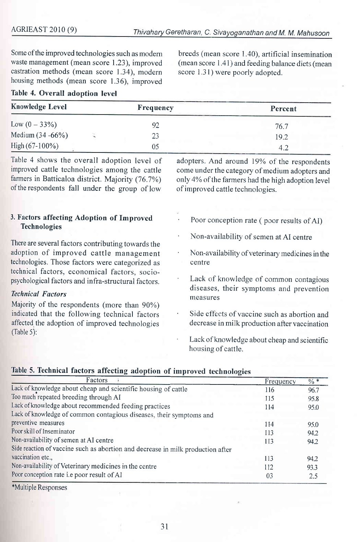Some of the improved technologies such as modern waste management (mean score 1.23), improved castration methods (mean score 1.34), modern housing methods (mean score 1.36), improved

breeds (mean score 1.40), artificial insemination (mean score L41) and feeding balance diets (mean score 1.31) were poorly adopted.

|  |  | Table 4. Overall adoption level |  |
|--|--|---------------------------------|--|
|--|--|---------------------------------|--|

| <b>Knowledge Level</b> | Frequency | Percent |
|------------------------|-----------|---------|
| Low $(0 - 33\%)$       |           | 76.7    |
| Medium (34 -66%)       |           | 19.2    |
| High $(67-100\%)$      | 05        |         |

Table 4 shows the overall adoption level of improved cattle technologies among the cattle farmers in Batticaloa district. Majority (76.7%) of the respondents fall under the group of low

adopters. And around 19% of the respondents come under the category of medium adopters and only 4% of the farmers had the high adoption level of improved cattle technologies.

### 3. Factors affecting Adoption of Improved Technologies

There are several factors contributing towards the adoption of improved cattle management technologies. Those factors were categorized as technical factors, economical factors, sociopsychological factors and infra-structural factors.

#### Technical Fuctors

Majority of the respondents (more than 90%) indicated that the following technical factors affected the adoption of improved technologies (Table 5):

Poor conception rate (poor results of AI)

- ' Non-availability of semen at AI centre
- Non-availability of veterinary medicines in the centre
- Lack of knowledge of common contagious diseases, their symptoms and prevention measures
- Side effects of vaccine such as abortion and decrease in milk production after vaccination
- Lack of knowledge about cheap and scientific housing of cattle.

| Factors                                                                         | Frequency | $\% *$ |
|---------------------------------------------------------------------------------|-----------|--------|
| Lack of knowledge about cheap and scientific housing of cattle                  | 116       | 96.7   |
| Too much repeated breeding through AI                                           | 115       | 95.8   |
| Lack of knowledge about recommended feeding practices                           | 114       | 95.0   |
| Lack of knowledge of common contagious diseases, their symptoms and             |           |        |
| preventive measures                                                             | 114       | 95.0   |
| Poor skill of Inseminator                                                       | 113       | 94.2   |
| Non-availability of semen at AI centre                                          | 113       | 94.2   |
| Side reaction of vaccine such as abortion and decrease in milk production after |           |        |
| vaccination etc.,                                                               | 113       | 94.2   |
| Non-availability of Veterinary medicines in the centre                          | 112       | 93.3   |
| Poor conception rate i.e poor result of AI                                      | 03        | 2.5    |

#### Table 5. Technical factors affecting adoption of improved technologies

\*Multiple Responses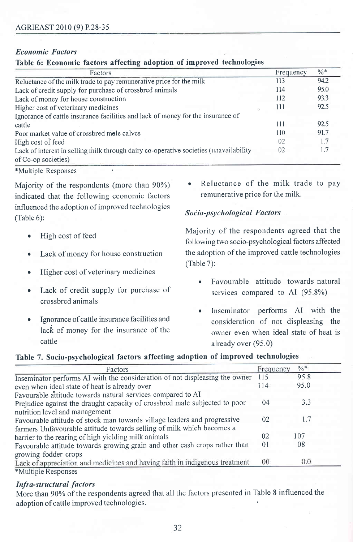### **Economic Factors**

|  |  |  |  |  |  | Table 6: Economic factors affecting adoption of improved technologies |
|--|--|--|--|--|--|-----------------------------------------------------------------------|
|--|--|--|--|--|--|-----------------------------------------------------------------------|

| Factors                                                                               | Frequency | $\frac{0}{6}$ * |
|---------------------------------------------------------------------------------------|-----------|-----------------|
| Reluctance of the milk trade to pay remunerative price for the milk                   | 113       | 94.2            |
| Lack of credit supply for purchase of crossbred animals                               | 114       | 95.0            |
| Lack of money for house construction                                                  | 112       | 93.3            |
| Higher cost of veterinary medicines                                                   | 111       | 92.5            |
| Ignorance of cattle insurance facilities and lack of money for the insurance of       |           |                 |
| cattle                                                                                | 111       | 92.5            |
| Poor market value of crossbred male calves                                            | 110       | 91.7            |
| High cost of feed                                                                     | 02        |                 |
| Lack of interest in selling milk through dairy co-operative societies (unavailability | 02        |                 |
| of Co-op societies)                                                                   |           |                 |

\*Multiple Responses

Majority of the respondents (more than 90%) indicated that the following economic factors influenced the adoption of improved technologies  $(Table 6)$ :

- High cost of feed  $\bullet$
- Lack of money for house construction  $\bullet$
- Higher cost of veterinary medicines  $\bullet$
- Lack of credit supply for purchase of crossbred animals
- Ignorance of cattle insurance facilities and lack of money for the insurance of the cattle

Reluctance of the milk trade to pay remunerative price for the milk.

### Socio-psychological Factors

Majority of the respondents agreed that the following two socio-psychological factors affected the adoption of the improved cattle technologies  $(Table 7):$ 

- Favourable attitude towards natural services compared to AI (95.8%)
- Inseminator performs AI with the consideration of not displeasing the owner even when ideal state of heat is already over (95.0)

### Table 7. Socio-psychological factors affecting adoption of improved technologies

| Factors                                                                     | Frequency       | $\frac{0}{6}$ * |
|-----------------------------------------------------------------------------|-----------------|-----------------|
| Inseminator performs AI with the consideration of not displeasing the owner | 115             | 95.8            |
| even when ideal state of heat is already over                               | 114             | 95.0            |
| Favourable attitude towards natural services compared to AI                 |                 |                 |
| Prejudice against the draught capacity of crossbred male subjected to poor  | 04              | 3.3             |
| nutrition level and management                                              |                 |                 |
| Favourable attitude of stock man towards village leaders and progressive    | 02              | 1.7             |
| farmers Unfavourable attitude towards selling of milk which becomes a       |                 |                 |
| barrier to the rearing of high yielding milk animals                        | 02              | 107             |
| Favourable attitude towards growing grain and other cash crops rather than  | 01              | 08              |
| growing fodder crops                                                        |                 |                 |
| Lack of appreciation and medicines and having faith in indigenous treatment | 00 <sup>°</sup> | 0.0             |
| *Multiple Responses                                                         |                 |                 |

### **Infra-structural factors**

More than 90% of the respondents agreed that all the factors presented in Table 8 influenced the adoption of cattle improved technologies.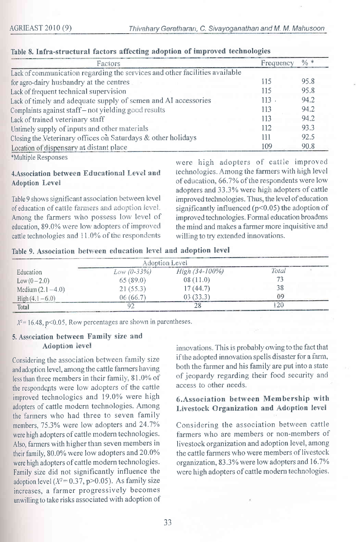| Factors                                                                     | Frequency | $\frac{0}{6}$ * |
|-----------------------------------------------------------------------------|-----------|-----------------|
| Lack of communication regarding the services and other facilities available |           |                 |
| for agro-dairy husbandry at the centres                                     | 115       | 95.8            |
| Lack of frequent technical supervision                                      | 115       | 95.8            |
| Lack of timely and adequate supply of semen and AI accessories              | 113       | 94.2            |
| Complaints against staff-not yielding good results                          | 113       | 94.2            |
| Lack of trained veterinary staff                                            | 113       | 94.2            |
| Untimely supply of inputs and other materials                               | 112       | 93.3            |
| Closing the Veterinary offices on Saturdays & other holidays                | 111       | 92.5            |
| Location of dispensary at distant place                                     | 109       | 90.8            |

#### Table 8. Infra-structural factors affecting adoption of improved technologies

\*Multiple Responses

#### 4. Association between Educational Level and **Adoption Level**

Table 9 shows significant association between level of education of cattle farmers and adoption level. Among the farmers who possess low level of education, 89.0% were low adopters of improved cattle technologies and 11.0% of the respondents

were high adopters of cattle improved technologies. Among the farmers with high level of education, 66.7% of the respondents were low adopters and 33.3% were high adopters of cattle improved technologies. Thus, the level of education significantly influenced (p<0.05) the adoption of improved technologies. Formal education broadens the mind and makes a farmer more inquisitive and willing to try extended innovations.

Table 9. Association between education level and adoption level

|                      |               | Adoption Level |       |  |
|----------------------|---------------|----------------|-------|--|
| Education            | $Low (0-33%)$ | High (34-100%) | Total |  |
| $Low (0 - 2.0)$      | 65(89.0)      | 08(11.0)       |       |  |
| Medium $(2.1 - 4.0)$ | 21(55.3)      | 17 (44.7)      |       |  |
| $High(4,1-6.0)$      | 06 (66.7)     | 03 (33.3)      |       |  |
| <b>Total</b>         |               |                |       |  |

 $X^2 = 16.48$ , p<0.05, Row percentages are shown in parentheses.

### 5. Association between Family size and Adoption level

Considering the association between family size and adoption level, among the cattle farmers having less than three members in their family, 81.0% of the respondents were low adopters of the cattle improved technologies and 19.0% were high adopters of cattle modern technologies. Among the farmers who had three to seven family members, 75.3% were low adopters and 24.7% were high adopters of cattle modern technologies. Also, farmers with higher than seven members in their family, 80.0% were low adopters and 20.0% were high adopters of cattle modern technologies. Family size did not significantly influence the adoption level ( $X^2 = 0.37$ , p>0.05). As family size increases, a farmer progressively becomes unwilling to take risks associated with adoption of

innovations. This is probably owing to the fact that if the adopted innovation spells disaster for a farm, both the farmer and his family are put into a state of jeopardy regarding their food security and access to other needs.

## 6. Association between Membership with Livestock Organization and Adoption level

Considering the association between cattle farmers who are members or non-members of livestock organization and adoption level, among the cattle farmers who were members of livestock organization, 83.3% were low adopters and 16.7% were high adopters of cattle modern technologies.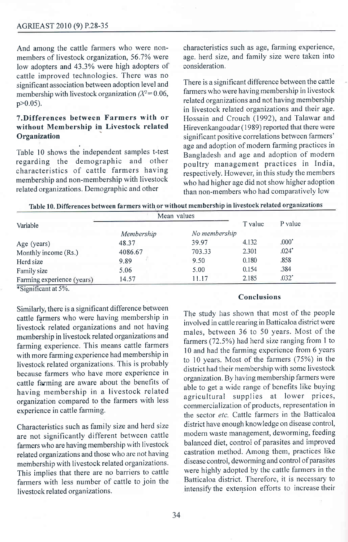#### AGRIEAST 2010 (9) P.28-35

And among the cattle farmers who were nonmembers of livestock organization, 56.7Yo were low adopters and 43.3% were high adopters of cattle improved technologies. There was no significant association between adoption level and membership with livestock organization  $X^2 = 0.06$ ,  $p>0.05$ ).

## T.Differences between Farmers with or without Membership in Livestock related **Organization**

Table 10 shows the independent samples t-test regarding the demographic and other characteristics of cattle farmers having membership and non-membership with livestock related organizations. Demographic and other

characteristics such as age, farming experience, age. herd size, and family size were taken into consideration.

There is a significant difference between the cattle farmers who were having membership in livestock related organizations and not having membership in livestock related organizations and their age. Hossain and Crouch (1992), and Talawar and Hirevenkangoudar ( 1989) reported that there were significant positive correlations between farmers' age and adoption of modern farming practices in Bangladesh and age and adoption of modern poultry management practices in India, respectively. However, in this study the members who had higher age did not show higher adoption than non-members who had comparatively low

| Table 10. Differences between farmers with or without membership in livestock related organizations |
|-----------------------------------------------------------------------------------------------------|
|-----------------------------------------------------------------------------------------------------|

| Variable                   | Mean values |               |         |         |
|----------------------------|-------------|---------------|---------|---------|
|                            |             |               | T value | P value |
|                            | Membership  | No membership |         |         |
| Age (years)                | 48.37       | 39.97         | 4.132   | $.000*$ |
| Monthly income (Rs.)       | 4086.67     | 703.33        | 2.301   | $.024*$ |
| Herd size                  | 9.89        | 9.50          | 0.180   | .858    |
| Family size                | 5.06        | 5.00          | 0.154   | .384    |
| Farming experience (years) | 14.57       | 11.17         | 2.185   | $.032*$ |
|                            |             |               |         |         |

\*Significant at 5%.

Similarly, there is a significant difference between cattle farmers who were having membership in livestock related organizations and not having membership in livestock related organizations and farming experience. This means cattle farmers with more farming experience had membership in livestock related organizations. This is probably because farmers who have more experience in cattle farming are aware about the benefits of having membership in a livestock related organization compared to the farmers with less experience in cattle farming.

Characteristics such as family size and herd size are not significantly different between cattle farmers who are having membership with livestock related organizations and those who are not having membership with livestock related organizations. This implies that there are no barriers to cattle farmers with less number of cattle to join the livestock related organizations.

#### Conclusions

The study has shown that most of the people involved in cattle rearing in Batticaloa district were males, between 36 to 50 years. Most of the farmers (72.5%) had herd size ranging from I to l0 and had the farming experience from 6 years to 10 years. Most of the farmers (75%) in the district had their membership with some livestock organization. By having membership farmers were able to get a wide range of benefits like buying agricultural supplies at lower prices, commercialization of products, representation in the sector etc. Cattle farmers in the Batticaloa district have enough knowledge on disease control, modern waste management, deworming, feeding balanced diet, control of parasites and improved castration method. Among them, practices like disease control, deworming and control of parasites were highly adopted by the cattle farmers in the Batticaloa district. 'Iherefore, it is necessary to intensify the extension efforts to increase their